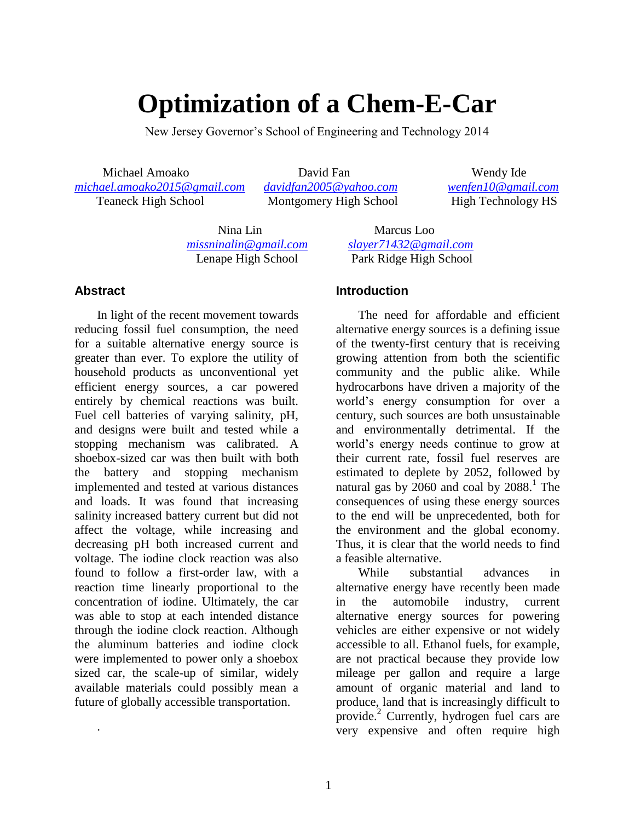# **Optimization of a Chem-E-Car**

New Jersey Governor's School of Engineering and Technology 2014

 Michael Amoako David Fan Wendy Ide *[michael.amoako2015@gmail.com](mailto:michael.amoako2015@gmail.com) [davidfan2005@yahoo.com](mailto:davidfan2005@yahoo.com) [wenfen10@gmail.com](mailto:wenfen10@gmail.com)* Teaneck High School Montgomery High School High Technology HS

 Nina Lin Marcus Loo *[missninalin@gmail.com](mailto:missninalin@gmail.com) [slayer71432@gmail.com](mailto:slayer71432@gmail.com)*

#### **Abstract**

.

In light of the recent movement towards reducing fossil fuel consumption, the need for a suitable alternative energy source is greater than ever. To explore the utility of household products as unconventional yet efficient energy sources, a car powered entirely by chemical reactions was built. Fuel cell batteries of varying salinity, pH, and designs were built and tested while a stopping mechanism was calibrated. A shoebox-sized car was then built with both the battery and stopping mechanism implemented and tested at various distances and loads. It was found that increasing salinity increased battery current but did not affect the voltage, while increasing and decreasing pH both increased current and voltage. The iodine clock reaction was also found to follow a first-order law, with a reaction time linearly proportional to the concentration of iodine. Ultimately, the car was able to stop at each intended distance through the iodine clock reaction. Although the aluminum batteries and iodine clock were implemented to power only a shoebox sized car, the scale-up of similar, widely available materials could possibly mean a future of globally accessible transportation.

Lenape High School Park Ridge High School

#### **Introduction**

The need for affordable and efficient alternative energy sources is a defining issue of the twenty-first century that is receiving growing attention from both the scientific community and the public alike. While hydrocarbons have driven a majority of the world's energy consumption for over a century, such sources are both unsustainable and environmentally detrimental. If the world's energy needs continue to grow at their current rate, fossil fuel reserves are estimated to deplete by 2052, followed by natural gas by  $2060$  and coal by  $2088$ .<sup>1</sup> The consequences of using these energy sources to the end will be unprecedented, both for the environment and the global economy. Thus, it is clear that the world needs to find a feasible alternative.

While substantial advances in alternative energy have recently been made in the automobile industry, current alternative energy sources for powering vehicles are either expensive or not widely accessible to all. Ethanol fuels, for example, are not practical because they provide low mileage per gallon and require a large amount of organic material and land to produce, land that is increasingly difficult to provide.<sup>2</sup> Currently, hydrogen fuel cars are very expensive and often require high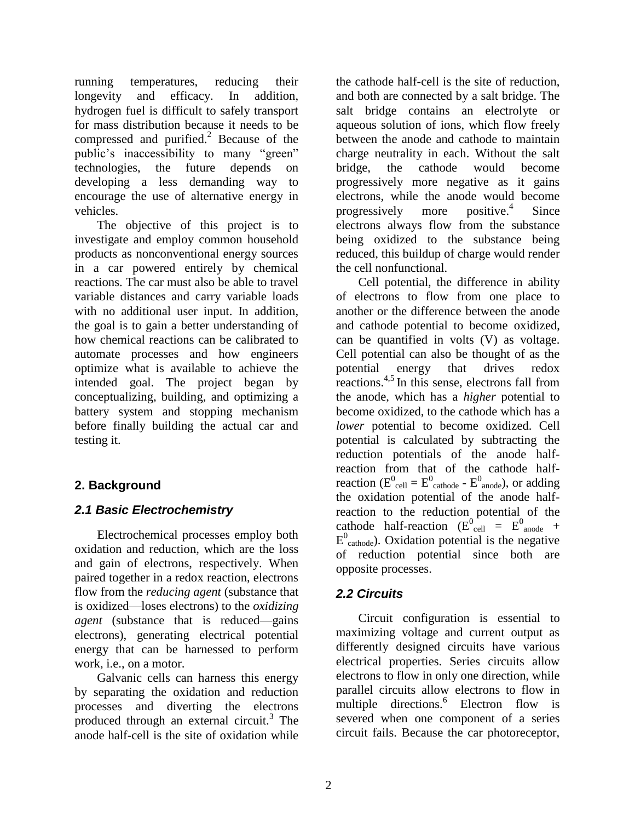running temperatures, reducing their longevity and efficacy. In addition, hydrogen fuel is difficult to safely transport for mass distribution because it needs to be compressed and purified. $^{2}$  Because of the public's inaccessibility to many "green" technologies, the future depends on developing a less demanding way to encourage the use of alternative energy in vehicles.

The objective of this project is to investigate and employ common household products as nonconventional energy sources in a car powered entirely by chemical reactions. The car must also be able to travel variable distances and carry variable loads with no additional user input. In addition, the goal is to gain a better understanding of how chemical reactions can be calibrated to automate processes and how engineers optimize what is available to achieve the intended goal. The project began by conceptualizing, building, and optimizing a battery system and stopping mechanism before finally building the actual car and testing it.

# **2. Background**

## *2.1 Basic Electrochemistry*

Electrochemical processes employ both oxidation and reduction, which are the loss and gain of electrons, respectively. When paired together in a redox reaction, electrons flow from the *reducing agent* (substance that is oxidized—loses electrons) to the *oxidizing agent* (substance that is reduced—gains electrons), generating electrical potential energy that can be harnessed to perform work, i.e., on a motor.

Galvanic cells can harness this energy by separating the oxidation and reduction processes and diverting the electrons produced through an external circuit.<sup>3</sup> The anode half-cell is the site of oxidation while

the cathode half-cell is the site of reduction, and both are connected by a salt bridge. The salt bridge contains an electrolyte or aqueous solution of ions, which flow freely between the anode and cathode to maintain charge neutrality in each. Without the salt bridge, the cathode would become progressively more negative as it gains electrons, while the anode would become progressively more  $positive.<sup>4</sup>$ Since electrons always flow from the substance being oxidized to the substance being reduced, this buildup of charge would render the cell nonfunctional.

Cell potential, the difference in ability of electrons to flow from one place to another or the difference between the anode and cathode potential to become oxidized, can be quantified in volts (V) as voltage. Cell potential can also be thought of as the potential energy that drives redox reactions.4,5 In this sense, electrons fall from the anode, which has a *higher* potential to become oxidized, to the cathode which has a *lower* potential to become oxidized. Cell potential is calculated by subtracting the reduction potentials of the anode halfreaction from that of the cathode halfreaction ( $E^0_{cell} = E^0_{cathode}$  -  $E^0_{anode}$ ), or adding the oxidation potential of the anode halfreaction to the reduction potential of the cathode half-reaction ( $E_{cell}^0 = E_{anode}^0$  +  $E^{0}$ <sub>cathode</sub>). Oxidation potential is the negative of reduction potential since both are opposite processes.

## *2.2 Circuits*

Circuit configuration is essential to maximizing voltage and current output as differently designed circuits have various electrical properties. Series circuits allow electrons to flow in only one direction, while parallel circuits allow electrons to flow in multiple directions.<sup>6</sup> Electron flow is severed when one component of a series circuit fails. Because the car photoreceptor,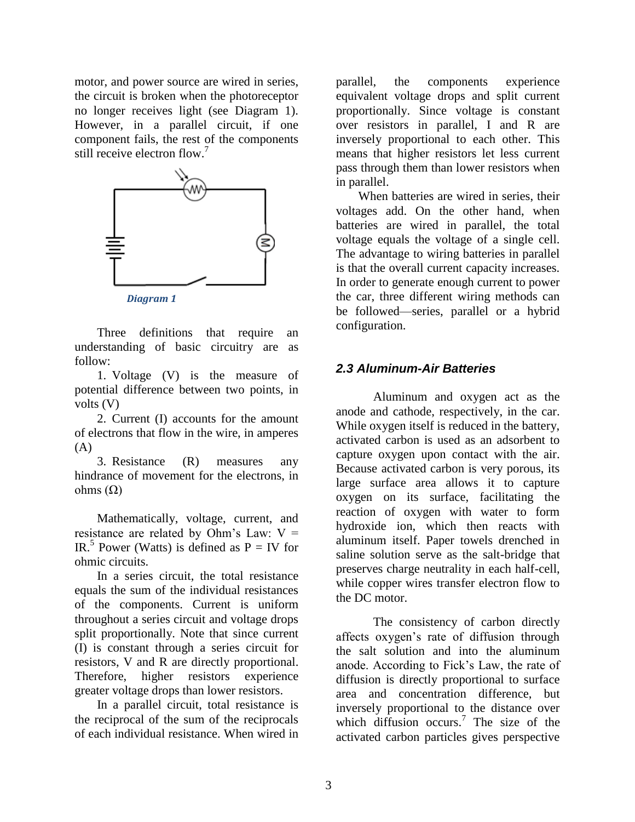motor, and power source are wired in series, the circuit is broken when the photoreceptor no longer receives light (see Diagram 1). However, in a parallel circuit, if one component fails, the rest of the components still receive electron flow.<sup>7</sup>



*Diagram 1*

Three definitions that require an understanding of basic circuitry are as follow:

1. Voltage (V) is the measure of potential difference between two points, in volts (V)

2. Current (I) accounts for the amount of electrons that flow in the wire, in amperes  $(A)$ 

3. Resistance (R) measures any hindrance of movement for the electrons, in ohms  $(Ω)$ 

Mathematically, voltage, current, and resistance are related by Ohm's Law:  $V =$ IR.<sup>5</sup> Power (Watts) is defined as  $P = IV$  for ohmic circuits.

In a series circuit, the total resistance equals the sum of the individual resistances of the components. Current is uniform throughout a series circuit and voltage drops split proportionally. Note that since current (I) is constant through a series circuit for resistors, V and R are directly proportional. Therefore, higher resistors experience greater voltage drops than lower resistors.

In a parallel circuit, total resistance is the reciprocal of the sum of the reciprocals of each individual resistance. When wired in parallel, the components experience equivalent voltage drops and split current proportionally. Since voltage is constant over resistors in parallel, I and R are inversely proportional to each other. This means that higher resistors let less current pass through them than lower resistors when in parallel.

When batteries are wired in series, their voltages add. On the other hand, when batteries are wired in parallel, the total voltage equals the voltage of a single cell. The advantage to wiring batteries in parallel is that the overall current capacity increases. In order to generate enough current to power the car, three different wiring methods can be followed—series, parallel or a hybrid configuration.

## *2.3 Aluminum-Air Batteries*

Aluminum and oxygen act as the anode and cathode, respectively, in the car. While oxygen itself is reduced in the battery, activated carbon is used as an adsorbent to capture oxygen upon contact with the air. Because activated carbon is very porous, its large surface area allows it to capture oxygen on its surface, facilitating the reaction of oxygen with water to form hydroxide ion, which then reacts with aluminum itself. Paper towels drenched in saline solution serve as the salt-bridge that preserves charge neutrality in each half-cell, while copper wires transfer electron flow to the DC motor.

The consistency of carbon directly affects oxygen's rate of diffusion through the salt solution and into the aluminum anode. According to Fick's Law, the rate of diffusion is directly proportional to surface area and concentration difference, but inversely proportional to the distance over which diffusion occurs.<sup>7</sup> The size of the activated carbon particles gives perspective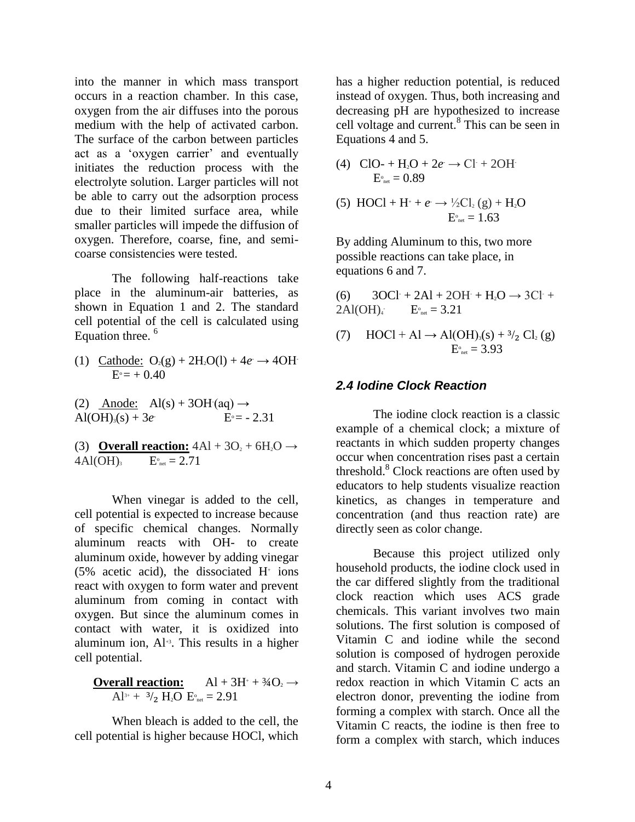into the manner in which mass transport occurs in a reaction chamber. In this case, oxygen from the air diffuses into the porous medium with the help of activated carbon. The surface of the carbon between particles act as a 'oxygen carrier' and eventually initiates the reduction process with the electrolyte solution. Larger particles will not be able to carry out the adsorption process due to their limited surface area, while smaller particles will impede the diffusion of oxygen. Therefore, coarse, fine, and semicoarse consistencies were tested.

The following half-reactions take place in the aluminum-air batteries, as shown in Equation 1 and 2. The standard cell potential of the cell is calculated using Equation three. <sup>6</sup>

- (1) Cathode:  $O_2(g) + 2H_2O(l) + 4e \rightarrow 4OH$  $E^{\circ} = +0.40$
- (2) Anode:  $\text{Al}(s) + 3\text{OH}(aq) \rightarrow$  $Al(OH)<sub>3</sub>(s) + 3*e*$  $E^{\circ} = -2.31$

(3) **Overall reaction:**  $4\text{Al} + 3\text{O}_2 + 6\text{H}_2\text{O} \rightarrow$  $4Al(OH)_{3}$  $E_{net}^{0} = 2.71$ 

When vinegar is added to the cell, cell potential is expected to increase because of specific chemical changes. Normally aluminum reacts with OH- to create aluminum oxide, however by adding vinegar  $(5\%$  acetic acid), the dissociated H<sup>+</sup> ions react with oxygen to form water and prevent aluminum from coming in contact with oxygen. But since the aluminum comes in contact with water, it is oxidized into aluminum ion, Al<sup>+3</sup>. This results in a higher cell potential.

**Overall reaction:**  $\text{Al} + 3\text{H}^+ + \frac{3}{4}\text{O}_2 \rightarrow$  $Al^{3+} + 3/2$  H<sub>2</sub>O  $E^{\circ}_{net} = 2.91$ 

When bleach is added to the cell, the cell potential is higher because HOCl, which has a higher reduction potential, is reduced instead of oxygen. Thus, both increasing and decreasing pH are hypothesized to increase cell voltage and current.<sup>8</sup> This can be seen in Equations 4 and 5.

(4) 
$$
\text{ClO-} + \text{H}_2\text{O} + 2e \rightarrow \text{Cl} + 2\text{OH}
$$

$$
\text{E}^{\circ}_{\text{net}} = 0.89
$$

(5) HOC1 + H<sup>+</sup> + 
$$
e \rightarrow \frac{1}{2}Cl_2(g) + H_2O
$$
  
\n $E_{net}^{\circ} = 1.63$ 

By adding Aluminum to this, two more possible reactions can take place, in equations 6 and 7.

(6)  $3OCl + 2Al + 2OH + H<sub>2</sub>O \rightarrow 3Cl +$  $2Al(OH)$  $E_{net}^{\circ} = 3.21$ 

(7)  $HOC1 + Al \rightarrow Al(OH)_{3}(s) + \frac{3}{2}Cl_{2}(g)$  $E_{net}^{\circ} = 3.93$ 

#### *2.4 Iodine Clock Reaction*

The iodine clock reaction is a classic example of a chemical clock; a mixture of reactants in which sudden property changes occur when concentration rises past a certain threshold.<sup>8</sup> Clock reactions are often used by educators to help students visualize reaction kinetics, as changes in temperature and concentration (and thus reaction rate) are directly seen as color change.

Because this project utilized only household products, the iodine clock used in the car differed slightly from the traditional clock reaction which uses ACS grade chemicals. This variant involves two main solutions. The first solution is composed of Vitamin C and iodine while the second solution is composed of hydrogen peroxide and starch. Vitamin C and iodine undergo a redox reaction in which Vitamin C acts an electron donor, preventing the iodine from forming a complex with starch. Once all the Vitamin C reacts, the iodine is then free to form a complex with starch, which induces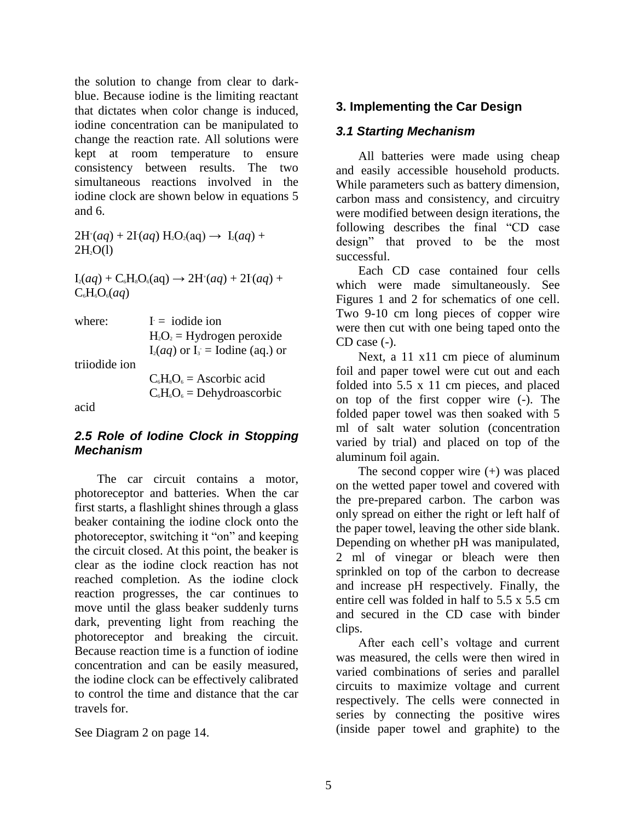the solution to change from clear to darkblue. Because iodine is the limiting reactant that dictates when color change is induced, iodine concentration can be manipulated to change the reaction rate. All solutions were kept at room temperature to ensure consistency between results. The two simultaneous reactions involved in the iodine clock are shown below in equations 5 and 6.

 $2H^{(n)}(aq) + 2I(aq) H_2O_2(aq) \rightarrow I_2(aq) +$  $2H<sub>2</sub>O(1)$ 

 $I_2(aq) + C_6H_8O_6(aq) \rightarrow 2H^+(aq) + 2I(aq) +$  $C_6H_6O_6(aq)$ 

| where:        | $I = i$ odide ion                    |
|---------------|--------------------------------------|
|               | $H_2O_2$ = Hydrogen peroxide         |
|               | $I_2(aq)$ or $I_3$ = Iodine (aq.) or |
| triiodide ion |                                      |
|               | $C_6H_8O_6 =$ Ascorbic acid          |
|               | $C_6H_6O_6 =$ Dehydroascorbic        |

acid

#### *2.5 Role of Iodine Clock in Stopping Mechanism*

The car circuit contains a motor, photoreceptor and batteries. When the car first starts, a flashlight shines through a glass beaker containing the iodine clock onto the photoreceptor, switching it "on" and keeping the circuit closed. At this point, the beaker is clear as the iodine clock reaction has not reached completion. As the iodine clock reaction progresses, the car continues to move until the glass beaker suddenly turns dark, preventing light from reaching the photoreceptor and breaking the circuit. Because reaction time is a function of iodine concentration and can be easily measured, the iodine clock can be effectively calibrated to control the time and distance that the car travels for.

See Diagram 2 on page 14.

## **3. Implementing the Car Design**

#### *3.1 Starting Mechanism*

All batteries were made using cheap and easily accessible household products. While parameters such as battery dimension, carbon mass and consistency, and circuitry were modified between design iterations, the following describes the final "CD case design" that proved to be the most successful.

Each CD case contained four cells which were made simultaneously. See Figures 1 and 2 for schematics of one cell. Two 9-10 cm long pieces of copper wire were then cut with one being taped onto the CD case (-).

Next, a 11 x11 cm piece of aluminum foil and paper towel were cut out and each folded into 5.5 x 11 cm pieces, and placed on top of the first copper wire (-). The folded paper towel was then soaked with 5 ml of salt water solution (concentration varied by trial) and placed on top of the aluminum foil again.

The second copper wire (+) was placed on the wetted paper towel and covered with the pre-prepared carbon. The carbon was only spread on either the right or left half of the paper towel, leaving the other side blank. Depending on whether pH was manipulated, 2 ml of vinegar or bleach were then sprinkled on top of the carbon to decrease and increase pH respectively. Finally, the entire cell was folded in half to 5.5 x 5.5 cm and secured in the CD case with binder clips.

After each cell's voltage and current was measured, the cells were then wired in varied combinations of series and parallel circuits to maximize voltage and current respectively. The cells were connected in series by connecting the positive wires (inside paper towel and graphite) to the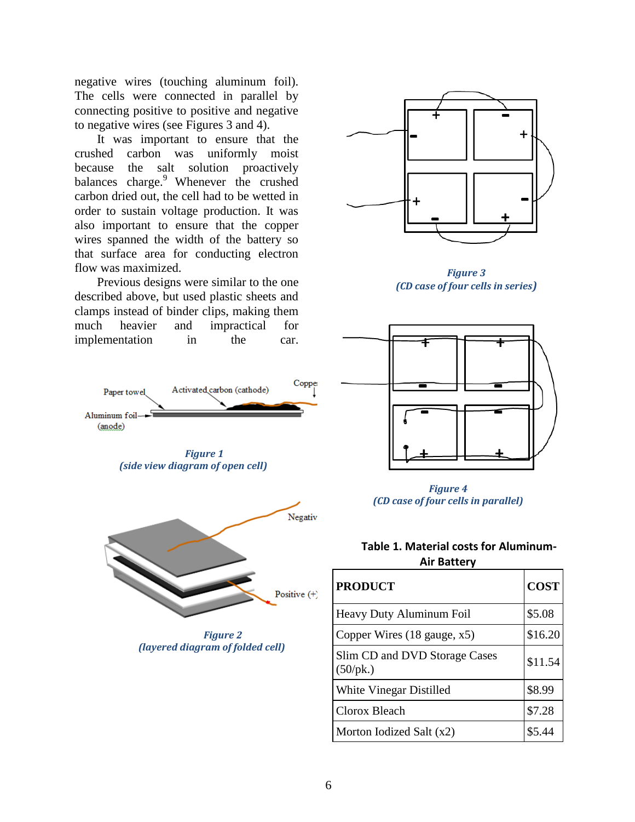negative wires (touching aluminum foil). The cells were connected in parallel by connecting positive to positive and negative to negative wires (see Figures 3 and 4).

It was important to ensure that the crushed carbon was uniformly moist because the salt solution proactively balances charge.<sup>9</sup> Whenever the crushed carbon dried out, the cell had to be wetted in order to sustain voltage production. It was also important to ensure that the copper wires spanned the width of the battery so that surface area for conducting electron flow was maximized.

Previous designs were similar to the one described above, but used plastic sheets and clamps instead of binder clips, making them much heavier and impractical for implementation in the car.

Paper towel



*Figure 3 (CD case of four cells in series)*







| <b>PRODUCT</b>                            | <b>COST</b> |
|-------------------------------------------|-------------|
| Heavy Duty Aluminum Foil                  | \$5.08      |
| Copper Wires $(18 \text{ gauge}, x5)$     | \$16.20     |
| Slim CD and DVD Storage Cases<br>(50/pk.) | \$11.54     |
| White Vinegar Distilled                   | \$8.99      |
| Clorox Bleach                             | \$7.28      |
| Morton Iodized Salt (x2)                  | \$5.44      |



Activated carbon (cathode)



*Figure 2 (layered diagram of folded cell)*

Copper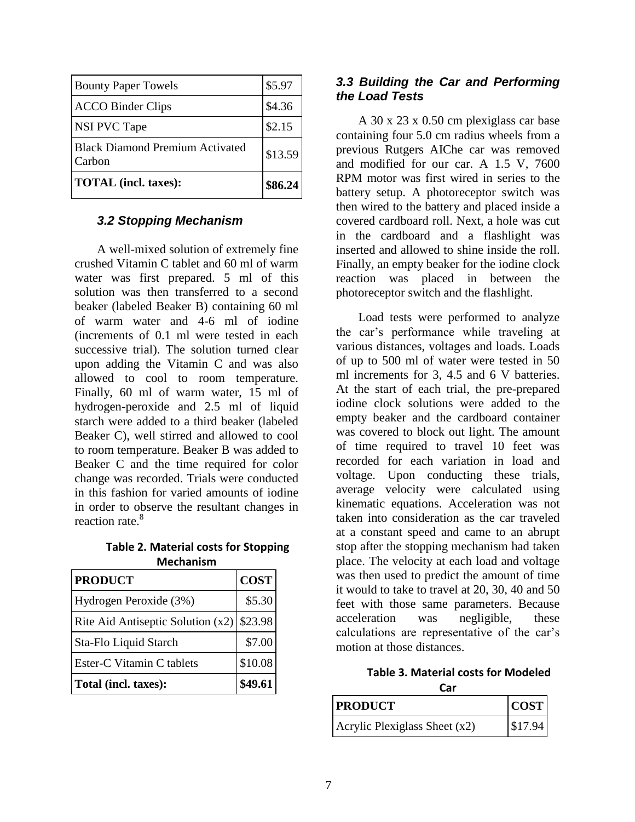| <b>Bounty Paper Towels</b>                       | \$5.97  |
|--------------------------------------------------|---------|
| <b>ACCO Binder Clips</b>                         | \$4.36  |
| <b>NSI PVC Tape</b>                              | \$2.15  |
| <b>Black Diamond Premium Activated</b><br>Carbon | \$13.59 |
| <b>TOTAL</b> (incl. taxes):                      | \$86.24 |

#### *3.2 Stopping Mechanism*

A well-mixed solution of extremely fine crushed Vitamin C tablet and 60 ml of warm water was first prepared. 5 ml of this solution was then transferred to a second beaker (labeled Beaker B) containing 60 ml of warm water and 4-6 ml of iodine (increments of 0.1 ml were tested in each successive trial). The solution turned clear upon adding the Vitamin C and was also allowed to cool to room temperature. Finally, 60 ml of warm water, 15 ml of hydrogen-peroxide and 2.5 ml of liquid starch were added to a third beaker (labeled Beaker C), well stirred and allowed to cool to room temperature. Beaker B was added to Beaker C and the time required for color change was recorded. Trials were conducted in this fashion for varied amounts of iodine in order to observe the resultant changes in reaction rate.<sup>8</sup>

**Table 2. Material costs for Stopping Mechanism**

| <b>PRODUCT</b>                      | <b>COST</b> |
|-------------------------------------|-------------|
| Hydrogen Peroxide (3%)              | \$5.30      |
| Rite Aid Antiseptic Solution $(x2)$ | \$23.98     |
| Sta-Flo Liquid Starch               | \$7.00      |
| Ester-C Vitamin C tablets           | \$10.08     |
| Total (incl. taxes):                | \$49.61     |

#### *3.3 Building the Car and Performing the Load Tests*

A 30 x 23 x 0.50 cm plexiglass car base containing four 5.0 cm radius wheels from a previous Rutgers AIChe car was removed and modified for our car. A 1.5 V, 7600 RPM motor was first wired in series to the battery setup. A photoreceptor switch was then wired to the battery and placed inside a covered cardboard roll. Next, a hole was cut in the cardboard and a flashlight was inserted and allowed to shine inside the roll. Finally, an empty beaker for the iodine clock reaction was placed in between the photoreceptor switch and the flashlight.

Load tests were performed to analyze the car's performance while traveling at various distances, voltages and loads. Loads of up to 500 ml of water were tested in 50 ml increments for 3, 4.5 and 6 V batteries. At the start of each trial, the pre-prepared iodine clock solutions were added to the empty beaker and the cardboard container was covered to block out light. The amount of time required to travel 10 feet was recorded for each variation in load and voltage. Upon conducting these trials, average velocity were calculated using kinematic equations. Acceleration was not taken into consideration as the car traveled at a constant speed and came to an abrupt stop after the stopping mechanism had taken place. The velocity at each load and voltage was then used to predict the amount of time it would to take to travel at 20, 30, 40 and 50 feet with those same parameters. Because acceleration was negligible, these calculations are representative of the car's motion at those distances.

> **Table 3. Material costs for Modeled Car**

| <b>PRODUCT</b>                  | COST    |
|---------------------------------|---------|
| Acrylic Plexiglass Sheet $(x2)$ | \$17.94 |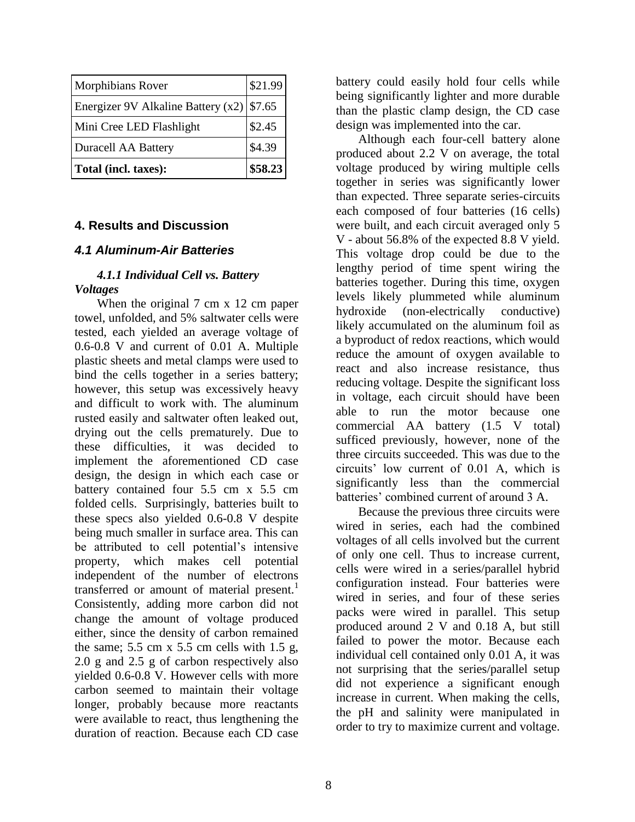| Morphibians Rover                  | \$21.99 |
|------------------------------------|---------|
| Energizer 9V Alkaline Battery (x2) | \$7.65  |
| Mini Cree LED Flashlight           | \$2.45  |
| <b>Duracell AA Battery</b>         | \$4.39  |
| Total (incl. taxes):               | \$58.23 |

#### **4. Results and Discussion**

#### *4.1 Aluminum-Air Batteries*

#### *4.1.1 Individual Cell vs. Battery Voltages*

When the original 7 cm x 12 cm paper towel, unfolded, and 5% saltwater cells were tested, each yielded an average voltage of 0.6-0.8 V and current of 0.01 A. Multiple plastic sheets and metal clamps were used to bind the cells together in a series battery; however, this setup was excessively heavy and difficult to work with. The aluminum rusted easily and saltwater often leaked out, drying out the cells prematurely. Due to these difficulties, it was decided to implement the aforementioned CD case design, the design in which each case or battery contained four 5.5 cm x 5.5 cm folded cells. Surprisingly, batteries built to these specs also yielded 0.6-0.8 V despite being much smaller in surface area. This can be attributed to cell potential's intensive property, which makes cell potential independent of the number of electrons transferred or amount of material present.<sup>1</sup> Consistently, adding more carbon did not change the amount of voltage produced either, since the density of carbon remained the same;  $5.5 \text{ cm} \times 5.5 \text{ cm}$  cells with  $1.5 \text{ g}$ , 2.0 g and 2.5 g of carbon respectively also yielded 0.6-0.8 V. However cells with more carbon seemed to maintain their voltage longer, probably because more reactants were available to react, thus lengthening the duration of reaction. Because each CD case

battery could easily hold four cells while being significantly lighter and more durable than the plastic clamp design, the CD case design was implemented into the car.

Although each four-cell battery alone produced about 2.2 V on average, the total voltage produced by wiring multiple cells together in series was significantly lower than expected. Three separate series-circuits each composed of four batteries (16 cells) were built, and each circuit averaged only 5 V - about 56.8% of the expected 8.8 V yield. This voltage drop could be due to the lengthy period of time spent wiring the batteries together. During this time, oxygen levels likely plummeted while aluminum hydroxide (non-electrically conductive) likely accumulated on the aluminum foil as a byproduct of redox reactions, which would reduce the amount of oxygen available to react and also increase resistance, thus reducing voltage. Despite the significant loss in voltage, each circuit should have been able to run the motor because one commercial AA battery (1.5 V total) sufficed previously, however, none of the three circuits succeeded. This was due to the circuits' low current of 0.01 A, which is significantly less than the commercial batteries' combined current of around 3 A.

Because the previous three circuits were wired in series, each had the combined voltages of all cells involved but the current of only one cell. Thus to increase current, cells were wired in a series/parallel hybrid configuration instead. Four batteries were wired in series, and four of these series packs were wired in parallel. This setup produced around 2 V and 0.18 A, but still failed to power the motor. Because each individual cell contained only 0.01 A, it was not surprising that the series/parallel setup did not experience a significant enough increase in current. When making the cells, the pH and salinity were manipulated in order to try to maximize current and voltage.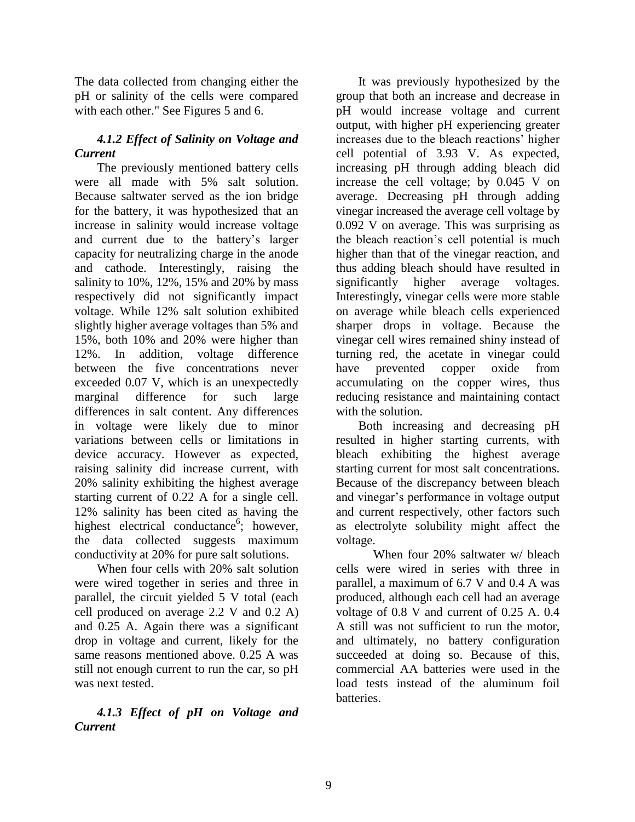The data collected from changing either the pH or salinity of the cells were compared with each other." See Figures 5 and 6.

## *4.1.2 Effect of Salinity on Voltage and Current*

The previously mentioned battery cells were all made with 5% salt solution. Because saltwater served as the ion bridge for the battery, it was hypothesized that an increase in salinity would increase voltage and current due to the battery's larger capacity for neutralizing charge in the anode and cathode. Interestingly, raising the salinity to 10%, 12%, 15% and 20% by mass respectively did not significantly impact voltage. While 12% salt solution exhibited slightly higher average voltages than 5% and 15%, both 10% and 20% were higher than 12%. In addition, voltage difference between the five concentrations never exceeded 0.07 V, which is an unexpectedly marginal difference for such large differences in salt content. Any differences in voltage were likely due to minor variations between cells or limitations in device accuracy. However as expected, raising salinity did increase current, with 20% salinity exhibiting the highest average starting current of 0.22 A for a single cell. 12% salinity has been cited as having the highest electrical conductance<sup>6</sup>; however, the data collected suggests maximum conductivity at 20% for pure salt solutions.

When four cells with 20% salt solution were wired together in series and three in parallel, the circuit yielded 5 V total (each cell produced on average 2.2 V and 0.2 A) and 0.25 A. Again there was a significant drop in voltage and current, likely for the same reasons mentioned above. 0.25 A was still not enough current to run the car, so pH was next tested.

### *4.1.3 Effect of pH on Voltage and Current*

It was previously hypothesized by the group that both an increase and decrease in pH would increase voltage and current output, with higher pH experiencing greater increases due to the bleach reactions' higher cell potential of 3.93 V. As expected, increasing pH through adding bleach did increase the cell voltage; by 0.045 V on average. Decreasing pH through adding vinegar increased the average cell voltage by 0.092 V on average. This was surprising as the bleach reaction's cell potential is much higher than that of the vinegar reaction, and thus adding bleach should have resulted in significantly higher average voltages. Interestingly, vinegar cells were more stable on average while bleach cells experienced sharper drops in voltage. Because the vinegar cell wires remained shiny instead of turning red, the acetate in vinegar could have prevented copper oxide from accumulating on the copper wires, thus reducing resistance and maintaining contact with the solution.

Both increasing and decreasing pH resulted in higher starting currents, with bleach exhibiting the highest average starting current for most salt concentrations. Because of the discrepancy between bleach and vinegar's performance in voltage output and current respectively, other factors such as electrolyte solubility might affect the voltage.

When four 20% saltwater w/ bleach cells were wired in series with three in parallel, a maximum of 6.7 V and 0.4 A was produced, although each cell had an average voltage of 0.8 V and current of 0.25 A. 0.4 A still was not sufficient to run the motor, and ultimately, no battery configuration succeeded at doing so. Because of this, commercial AA batteries were used in the load tests instead of the aluminum foil batteries.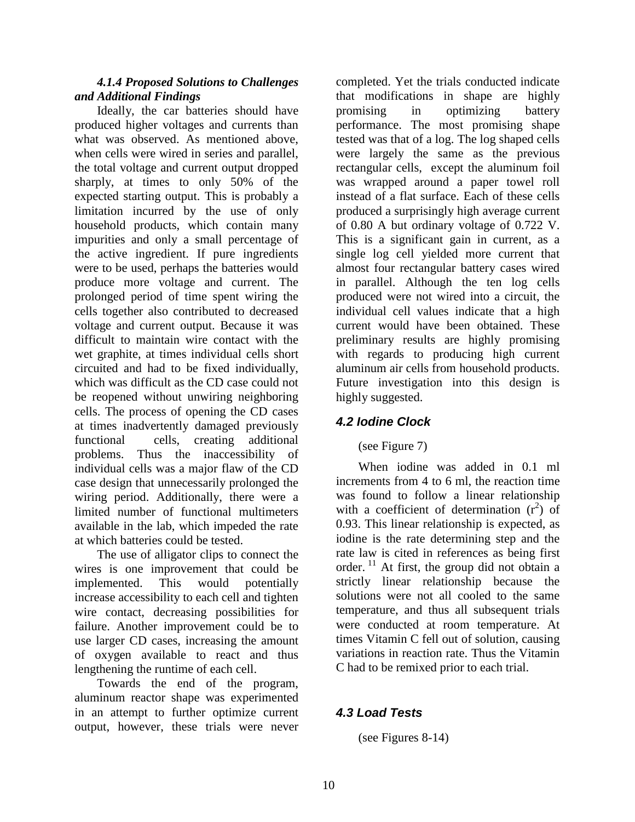#### *4.1.4 Proposed Solutions to Challenges and Additional Findings*

Ideally, the car batteries should have produced higher voltages and currents than what was observed. As mentioned above, when cells were wired in series and parallel, the total voltage and current output dropped sharply, at times to only 50% of the expected starting output. This is probably a limitation incurred by the use of only household products, which contain many impurities and only a small percentage of the active ingredient. If pure ingredients were to be used, perhaps the batteries would produce more voltage and current. The prolonged period of time spent wiring the cells together also contributed to decreased voltage and current output. Because it was difficult to maintain wire contact with the wet graphite, at times individual cells short circuited and had to be fixed individually, which was difficult as the CD case could not be reopened without unwiring neighboring cells. The process of opening the CD cases at times inadvertently damaged previously functional cells, creating additional problems. Thus the inaccessibility of individual cells was a major flaw of the CD case design that unnecessarily prolonged the wiring period. Additionally, there were a limited number of functional multimeters available in the lab, which impeded the rate at which batteries could be tested.

The use of alligator clips to connect the wires is one improvement that could be implemented. This would potentially increase accessibility to each cell and tighten wire contact, decreasing possibilities for failure. Another improvement could be to use larger CD cases, increasing the amount of oxygen available to react and thus lengthening the runtime of each cell.

Towards the end of the program, aluminum reactor shape was experimented in an attempt to further optimize current output, however, these trials were never

completed. Yet the trials conducted indicate that modifications in shape are highly promising in optimizing battery performance. The most promising shape tested was that of a log. The log shaped cells were largely the same as the previous rectangular cells, except the aluminum foil was wrapped around a paper towel roll instead of a flat surface. Each of these cells produced a surprisingly high average current of 0.80 A but ordinary voltage of 0.722 V. This is a significant gain in current, as a single log cell yielded more current that almost four rectangular battery cases wired in parallel. Although the ten log cells produced were not wired into a circuit, the individual cell values indicate that a high current would have been obtained. These preliminary results are highly promising with regards to producing high current aluminum air cells from household products. Future investigation into this design is highly suggested.

# *4.2 Iodine Clock*

# (see Figure 7)

When iodine was added in 0.1 ml increments from 4 to 6 ml, the reaction time was found to follow a linear relationship with a coefficient of determination  $(r^2)$  of 0.93. This linear relationship is expected, as iodine is the rate determining step and the rate law is cited in references as being first order.  $^{11}$  At first, the group did not obtain a strictly linear relationship because the solutions were not all cooled to the same temperature, and thus all subsequent trials were conducted at room temperature. At times Vitamin C fell out of solution, causing variations in reaction rate. Thus the Vitamin C had to be remixed prior to each trial.

# *4.3 Load Tests*

(see Figures 8-14)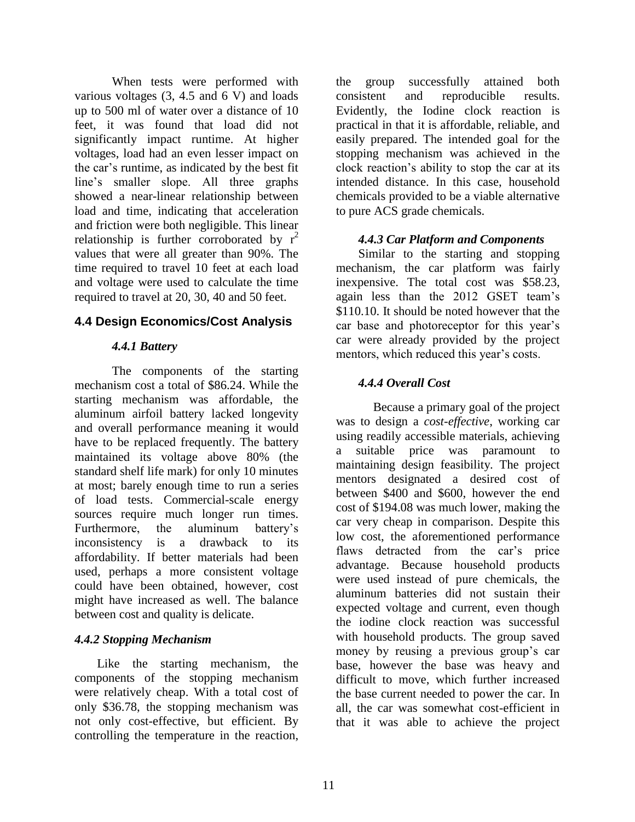When tests were performed with various voltages (3, 4.5 and 6 V) and loads up to 500 ml of water over a distance of 10 feet, it was found that load did not significantly impact runtime. At higher voltages, load had an even lesser impact on the car's runtime, as indicated by the best fit line's smaller slope. All three graphs showed a near-linear relationship between load and time, indicating that acceleration and friction were both negligible. This linear relationship is further corroborated by  $r^2$ values that were all greater than 90%. The time required to travel 10 feet at each load and voltage were used to calculate the time required to travel at 20, 30, 40 and 50 feet.

## **4.4 Design Economics/Cost Analysis**

## *4.4.1 Battery*

The components of the starting mechanism cost a total of \$86.24. While the starting mechanism was affordable, the aluminum airfoil battery lacked longevity and overall performance meaning it would have to be replaced frequently. The battery maintained its voltage above 80% (the standard shelf life mark) for only 10 minutes at most; barely enough time to run a series of load tests. Commercial-scale energy sources require much longer run times. Furthermore, the aluminum battery's inconsistency is a drawback to its affordability. If better materials had been used, perhaps a more consistent voltage could have been obtained, however, cost might have increased as well. The balance between cost and quality is delicate.

#### *4.4.2 Stopping Mechanism*

Like the starting mechanism, the components of the stopping mechanism were relatively cheap. With a total cost of only \$36.78, the stopping mechanism was not only cost-effective, but efficient. By controlling the temperature in the reaction,

the group successfully attained both consistent and reproducible results. Evidently, the Iodine clock reaction is practical in that it is affordable, reliable, and easily prepared. The intended goal for the stopping mechanism was achieved in the clock reaction's ability to stop the car at its intended distance. In this case, household chemicals provided to be a viable alternative to pure ACS grade chemicals.

### *4.4.3 Car Platform and Components*

Similar to the starting and stopping mechanism, the car platform was fairly inexpensive. The total cost was \$58.23, again less than the 2012 GSET team's \$110.10. It should be noted however that the car base and photoreceptor for this year's car were already provided by the project mentors, which reduced this year's costs.

## *4.4.4 Overall Cost*

Because a primary goal of the project was to design a *cost-effective*, working car using readily accessible materials, achieving a suitable price was paramount to maintaining design feasibility. The project mentors designated a desired cost of between \$400 and \$600, however the end cost of \$194.08 was much lower, making the car very cheap in comparison. Despite this low cost, the aforementioned performance flaws detracted from the car's price advantage. Because household products were used instead of pure chemicals, the aluminum batteries did not sustain their expected voltage and current, even though the iodine clock reaction was successful with household products. The group saved money by reusing a previous group's car base, however the base was heavy and difficult to move, which further increased the base current needed to power the car. In all, the car was somewhat cost-efficient in that it was able to achieve the project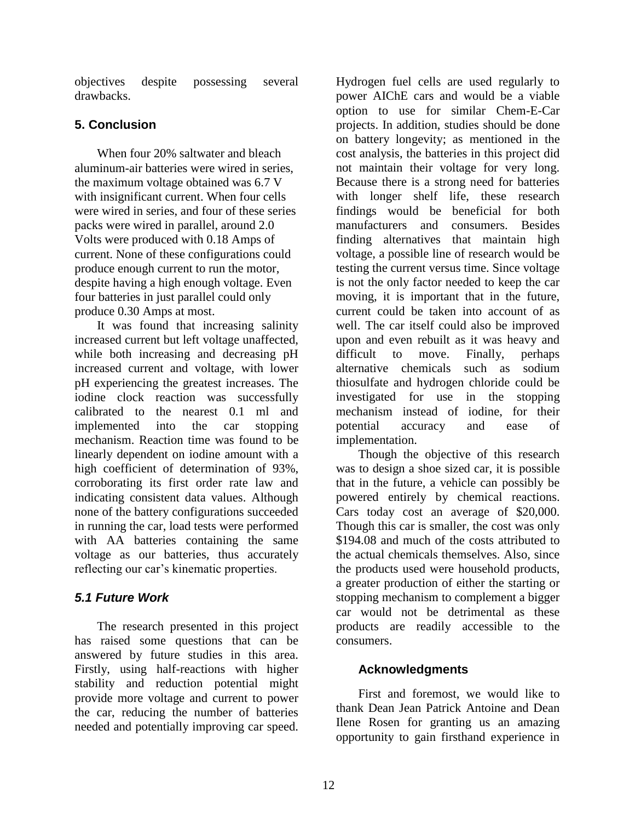objectives despite possessing several drawbacks.

## **5. Conclusion**

When four 20% saltwater and bleach aluminum-air batteries were wired in series, the maximum voltage obtained was 6.7 V with insignificant current. When four cells were wired in series, and four of these series packs were wired in parallel, around 2.0 Volts were produced with 0.18 Amps of current. None of these configurations could produce enough current to run the motor, despite having a high enough voltage. Even four batteries in just parallel could only produce 0.30 Amps at most.

It was found that increasing salinity increased current but left voltage unaffected, while both increasing and decreasing pH increased current and voltage, with lower pH experiencing the greatest increases. The iodine clock reaction was successfully calibrated to the nearest 0.1 ml and implemented into the car stopping mechanism. Reaction time was found to be linearly dependent on iodine amount with a high coefficient of determination of 93%, corroborating its first order rate law and indicating consistent data values. Although none of the battery configurations succeeded in running the car, load tests were performed with AA batteries containing the same voltage as our batteries, thus accurately reflecting our car's kinematic properties.

# *5.1 Future Work*

The research presented in this project has raised some questions that can be answered by future studies in this area. Firstly, using half-reactions with higher stability and reduction potential might provide more voltage and current to power the car, reducing the number of batteries needed and potentially improving car speed.

Hydrogen fuel cells are used regularly to power AIChE cars and would be a viable option to use for similar Chem-E-Car projects. In addition, studies should be done on battery longevity; as mentioned in the cost analysis, the batteries in this project did not maintain their voltage for very long. Because there is a strong need for batteries with longer shelf life, these research findings would be beneficial for both manufacturers and consumers. Besides finding alternatives that maintain high voltage, a possible line of research would be testing the current versus time. Since voltage is not the only factor needed to keep the car moving, it is important that in the future, current could be taken into account of as well. The car itself could also be improved upon and even rebuilt as it was heavy and difficult to move. Finally, perhaps alternative chemicals such as sodium thiosulfate and hydrogen chloride could be investigated for use in the stopping mechanism instead of iodine, for their potential accuracy and ease of implementation.

Though the objective of this research was to design a shoe sized car, it is possible that in the future, a vehicle can possibly be powered entirely by chemical reactions. Cars today cost an average of \$20,000. Though this car is smaller, the cost was only \$194.08 and much of the costs attributed to the actual chemicals themselves. Also, since the products used were household products, a greater production of either the starting or stopping mechanism to complement a bigger car would not be detrimental as these products are readily accessible to the consumers.

## **Acknowledgments**

First and foremost, we would like to thank Dean Jean Patrick Antoine and Dean Ilene Rosen for granting us an amazing opportunity to gain firsthand experience in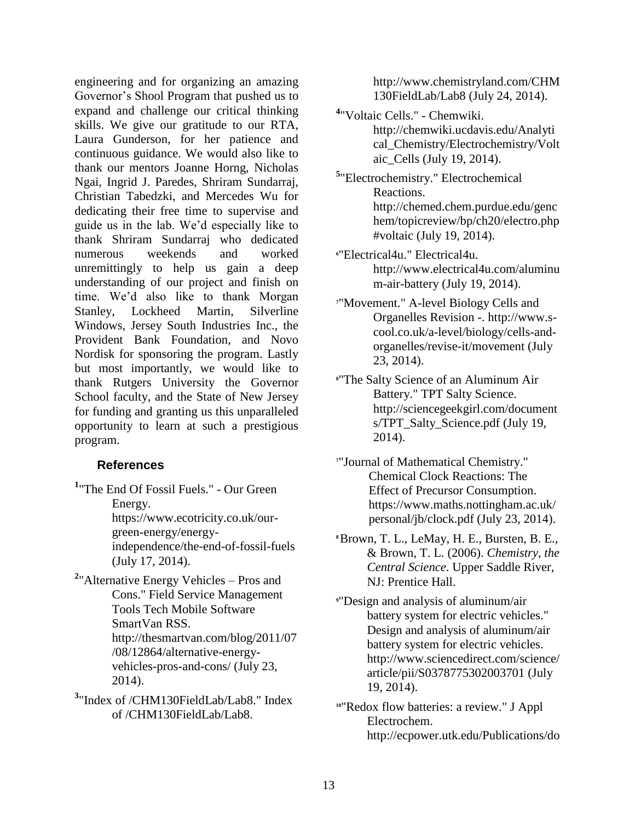engineering and for organizing an amazing Governor's Shool Program that pushed us to expand and challenge our critical thinking skills. We give our gratitude to our RTA, Laura Gunderson, for her patience and continuous guidance. We would also like to thank our mentors Joanne Horng, Nicholas Ngai, Ingrid J. Paredes, Shriram Sundarraj, Christian Tabedzki, and Mercedes Wu for dedicating their free time to supervise and guide us in the lab. We'd especially like to thank Shriram Sundarraj who dedicated numerous weekends and worked unremittingly to help us gain a deep understanding of our project and finish on time. We'd also like to thank Morgan Stanley, Lockheed Martin, Silverline Windows, Jersey South Industries Inc., the Provident Bank Foundation, and Novo Nordisk for sponsoring the program. Lastly but most importantly, we would like to thank Rutgers University the Governor School faculty, and the State of New Jersey for funding and granting us this unparalleled opportunity to learn at such a prestigious program.

#### **References**

- **1** ["The End Of Fossil Fuels." -](http://www.bibme.org/website) Our Green [Energy.](http://www.bibme.org/website) [https://www.ecotricity.co.uk/our](https://www.ecotricity.co.uk/our-green-energy/energy-independence/the-end-of-fossil-fuels)[green-energy/energy](https://www.ecotricity.co.uk/our-green-energy/energy-independence/the-end-of-fossil-fuels)[independence/the-end-of-fossil-fuels](https://www.ecotricity.co.uk/our-green-energy/energy-independence/the-end-of-fossil-fuels) [\(July 17, 2014\).](http://www.bibme.org/website)
- <sup>2</sup> Alternative Energy Vehicles Pros and [Cons." Field Service Management](http://www.bibme.org/website)  [Tools Tech Mobile Software](http://www.bibme.org/website)  [SmartVan RSS.](http://www.bibme.org/website)  [http://thesmartvan.com/blog/2011/07](http://www.bibme.org/website) [/08/12864/alternative-energy](http://www.bibme.org/website)[vehicles-pros-and-cons/ \(July 23,](http://www.bibme.org/website)  [2014\).](http://www.bibme.org/website)
- **3** ["Index of /CHM130FieldLab/Lab8." Index](http://www.bibme.org/website)  [of /CHM130FieldLab/Lab8.](http://www.bibme.org/website)

[http://www.chemistryland.com/CHM](http://www.bibme.org/website) [130FieldLab/Lab8 \(July 24, 2014\).](http://www.bibme.org/website)

- **4** ["Voltaic Cells." -](http://www.bibme.org/website) Chemwiki. [http://chemwiki.ucdavis.edu/Analyti](http://chemwiki.ucdavis.edu/Analytical_Chemistry/Electrochemistry/Voltaic_Cells) [cal\\_Chemistry/Electrochemistry/Volt](http://chemwiki.ucdavis.edu/Analytical_Chemistry/Electrochemistry/Voltaic_Cells) [aic\\_Cells](http://chemwiki.ucdavis.edu/Analytical_Chemistry/Electrochemistry/Voltaic_Cells) [\(July 19, 2014\).](http://chemwiki.ucdavis.edu/Analytical_Chemistry/Electrochemistry/Voltaic_Cells)
- **5** ["Electrochemistry." Electrochemical](http://www.bibme.org/website)  [Reactions.](http://www.bibme.org/website) [http://chemed.chem.purdue.edu/genc](http://chemed.chem.purdue.edu/genchem/topicreview/bp/ch20/electro.php#voltaic) [hem/topicreview/bp/ch20/electro.php](http://chemed.chem.purdue.edu/genchem/topicreview/bp/ch20/electro.php#voltaic) [#voltaic](http://chemed.chem.purdue.edu/genchem/topicreview/bp/ch20/electro.php#voltaic) [\(July 19, 2014\).](http://www.bibme.org/website)
- **<sup>6</sup>**["Electrical4u." Electrical4u.](http://www.bibme.org/website) [http://www.electrical4u.com/aluminu](http://www.electrical4u.com/aluminum-air-battery) [m-air-battery](http://www.electrical4u.com/aluminum-air-battery) [\(July 19, 2014\).](http://www.bibme.org/website)
- **<sup>7</sup>**["Movement." A-level Biology Cells and](http://www.bibme.org/website)  [Organelles Revision -. http://www.s](http://www.bibme.org/website)[cool.co.uk/a-level/biology/cells-and](http://www.bibme.org/website)[organelles/revise-it/movement \(July](http://www.bibme.org/website)  [23, 2014\).](http://www.bibme.org/website)
- **<sup>8</sup>**"The Salty Science of an Aluminum Air Battery." TPT Salty Science. http://sciencegeekgirl.com/document s/TPT\_Salty\_Science.pdf (July 19, 2014).
- **<sup>7</sup>**["Journal of Mathematical Chemistry."](http://www.bibme.org/website)  [Chemical Clock Reactions: The](http://www.bibme.org/website)  [Effect of Precursor Consumption.](http://www.bibme.org/website)  [https://www.maths.nottingham.ac.uk/](http://www.bibme.org/website) [personal/jb/clock.pdf \(July 23, 2014\).](http://www.bibme.org/website)
- **<sup>8</sup>**Brown, T. L., LeMay, H. E., Bursten, B. E., & Brown, T. L. (2006). *Chemistry, the Central Science*. Upper Saddle River, NJ: Prentice Hall.
- **<sup>9</sup>**["Design and analysis of aluminum/air](http://www.bibme.org/website)  [battery system for electric vehicles."](http://www.bibme.org/website)  [Design and analysis of aluminum/air](http://www.bibme.org/website)  [battery system for electric vehicles.](http://www.bibme.org/website) [http://www.sciencedirect.com/science/](http://www.sciencedirect.com/science/article/pii/S0378775302003701) [article/pii/S0378775302003701](http://www.sciencedirect.com/science/article/pii/S0378775302003701) [\(July](http://www.sciencedirect.com/science/article/pii/S0378775302003701)  [19, 2014\).](http://www.bibme.org/website)
- **<sup>10</sup>**"Redox flow batteries: a review." J Appl Electrochem. http://ecpower.utk.edu/Publications/do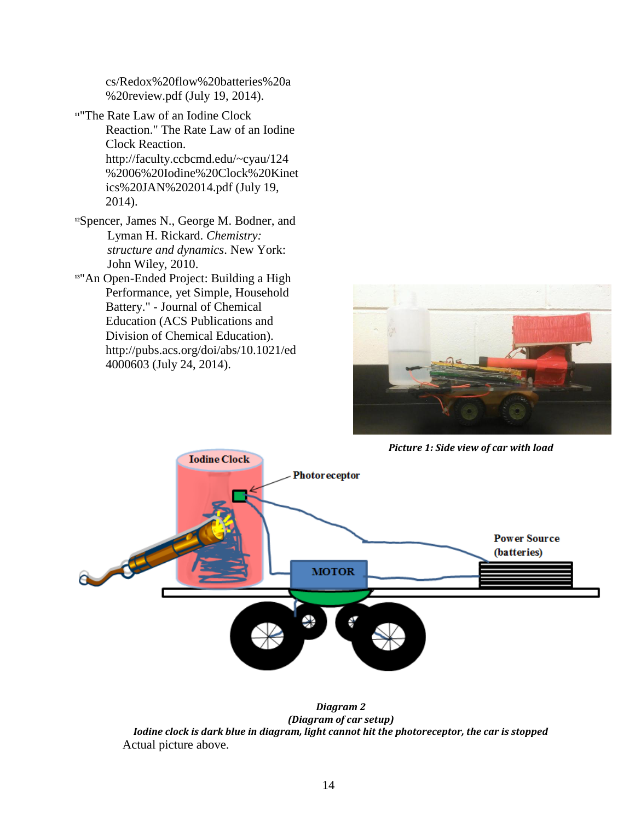cs/Redox%20flow%20batteries%20a %20review.pdf (July 19, 2014).

- **<sup>11</sup>**"The Rate Law of an Iodine Clock Reaction." The Rate Law of an Iodine Clock Reaction. http://faculty.ccbcmd.edu/~cyau/124 %2006%20Iodine%20Clock%20Kinet ics%20JAN%202014.pdf (July 19, 2014).
- **<sup>12</sup>**[Spencer, James N., George M. Bodner, and](http://www.bibme.org/book)  [Lyman H. Rickard.](http://www.bibme.org/book) *Chemistry: [structure and dynamics](http://www.bibme.org/book)*. New York: [John Wiley, 2010.](http://www.bibme.org/book)
- **<sup>13</sup>**["An Open-Ended Project: Building a High](http://www.bibme.org/website)  [Performance, yet Simple, Household](http://www.bibme.org/website)  Battery." - [Journal of Chemical](http://www.bibme.org/website)  [Education \(ACS Publications and](http://www.bibme.org/website)  [Division of Chemical Education\).](http://www.bibme.org/website)  [http://pubs.acs.org/doi/abs/10.1021/ed](http://www.bibme.org/website) [4000603 \(July 24, 2014\).](http://www.bibme.org/website)



*Picture 1: Side view of car with load*



*Diagram 2 (Diagram of car setup) Iodine clock is dark blue in diagram, light cannot hit the photoreceptor, the car is stopped* Actual picture above.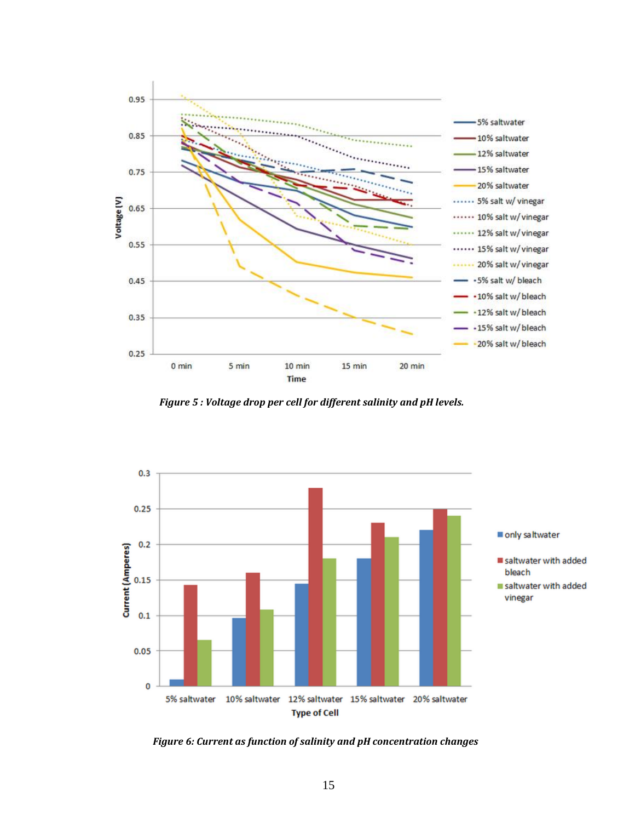

*Figure 5 : Voltage drop per cell for different salinity and pH levels.*



*Figure 6: Current as function of salinity and pH concentration changes*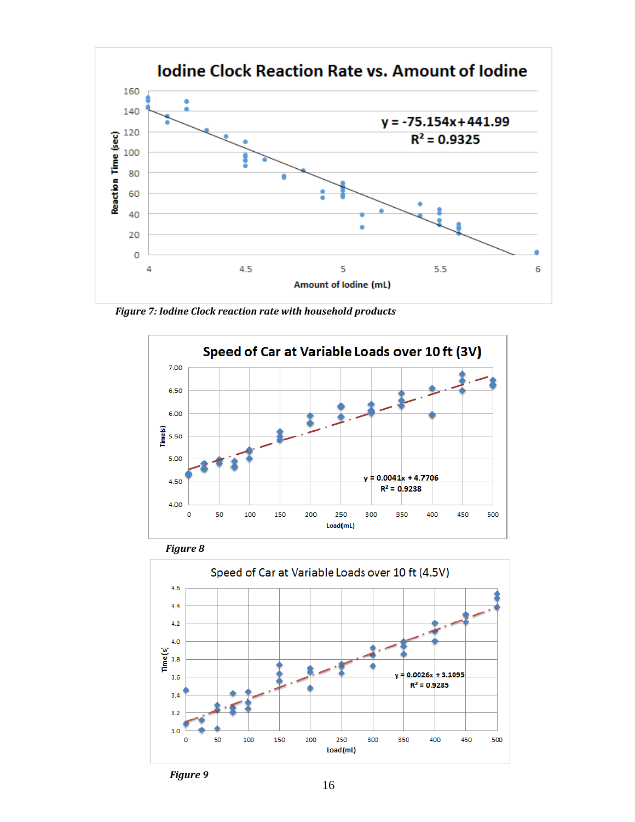

*Figure 7: Iodine Clock reaction rate with household products*







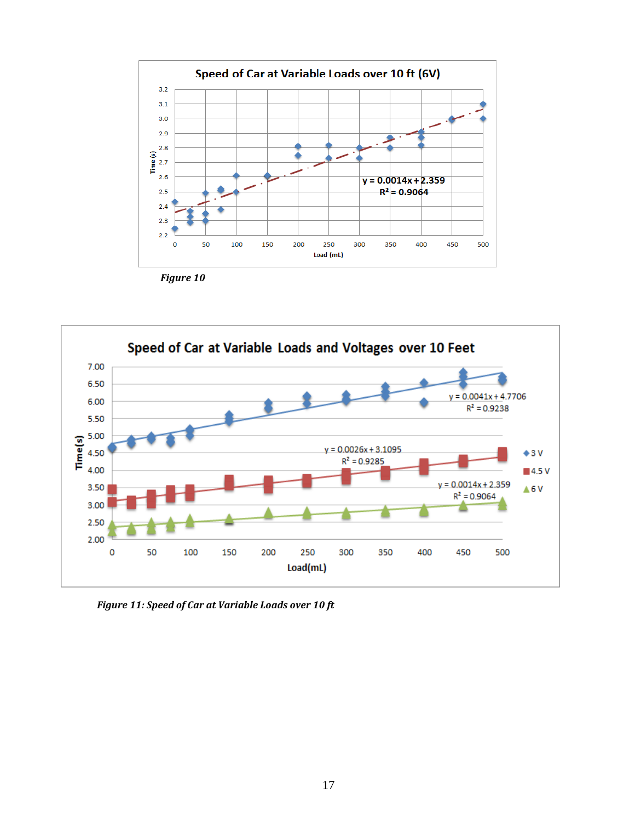

*Figure 10*



*Figure 11: Speed of Car at Variable Loads over 10 ft*